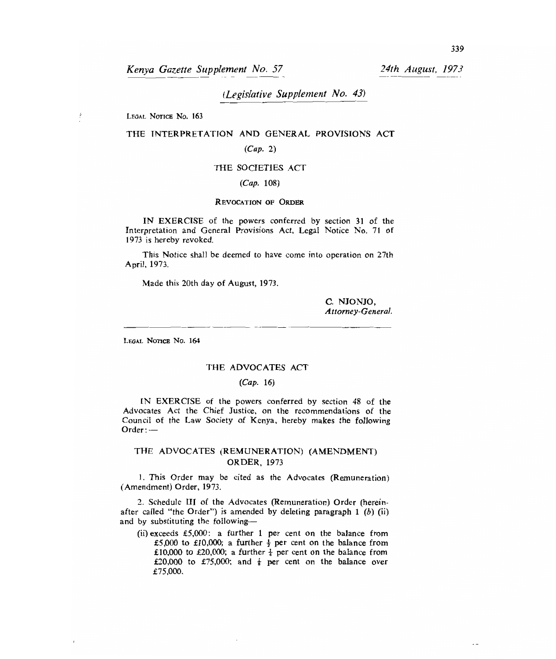*Kenya Gazette Supplement No. 57 24th August, 1973* 

*(Legislative Supplement No. 43)* 

LEGAL NOTICE No. 163

 $\mathfrak{k}$ 

# THE INTERPRETATION AND GENERAL PROVISIONS ACT

*(Cap.* 2)

### THE SOCIETIES ACT

### *(Cap.* 108)

## REVOCATION OP ORDER

IN EXERCISE of the powers conferred by section 31 of the Interpretation and General Provisions Act, Legal Notice No. *71* of 1973 is hereby revoked.

This Notice shall be deemed to have come into operation on 27th April, 1973.

Made this 20th day of August, 1973.

C. NJONJO, *Attorney-General.* 

LEGAL NOTICE No. 164

#### THE ADVOCATES ACT

### *(Cap.* 16)

IN EXERCISE of the powers conferred by section 48 of the Advocates Act the Chief Justice, on the recommendations of the Council of the Law Society of Kenya, hereby makes the following Order : —

# THE ADVOCATES (REMUNERATION) (AMENDMENT) ORDER, 1973

I. This Order may be cited as the Advocates (Remuneration) (Amendment) Order, 1973.

2. Schedule III of the Advocates (Remuneration) Order (hereinafter called "the Order") is amended by deleting paragraph 1 *(b)* (ii) and by substituting the following—

(ii) exceeds £5,000: a further 1 per cent on the balance from £5,000 to £10,000; a further  $\frac{1}{2}$  per cent on the balance from £10,000 to £20,000; a further  $\frac{1}{4}$  per cent on the balance from £20,000 to £75,000; and  $\frac{1}{8}$  per cent on the balance over £75,000.